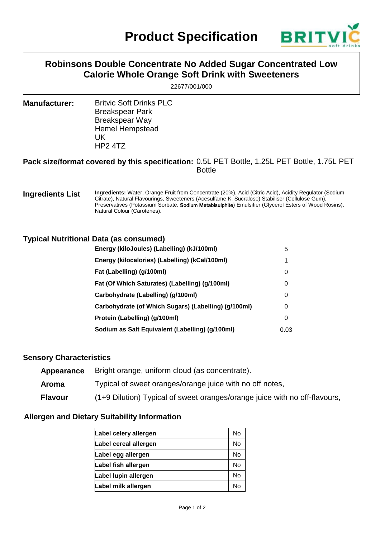

# **Robinsons Double Concentrate No Added Sugar Concentrated Low Calorie Whole Orange Soft Drink with Sweeteners**

22677/001/000

**Manufacturer:** Britvic Soft Drinks PLC Breakspear Park Breakspear Way Hemel Hempstead UK HP2 4TZ

#### **Pack size/format covered by this specification:** 0.5L PET Bottle, 1.25L PET Bottle, 1.75L PET Bottle

#### **Ingredients List Ingredients:** Water, Orange Fruit from Concentrate (20%), Acid (Citric Acid), Acidity Regulator (Sodium Citrate), Natural Flavourings, Sweeteners (Acesulfame K, Sucralose) Stabiliser (Cellulose Gum), Preservatives (Potassium Sorbate, Sodium Metabisulphite) Emulsifier (Glycerol Esters of Wood Rosins), Natural Colour (Carotenes).

## **Typical Nutritional Data (as consumed)**

| Energy (kiloJoules) (Labelling) (kJ/100ml)           | 5    |
|------------------------------------------------------|------|
| Energy (kilocalories) (Labelling) (kCal/100ml)       | 1    |
| Fat (Labelling) (g/100ml)                            | 0    |
| Fat (Of Which Saturates) (Labelling) (g/100ml)       | 0    |
| Carbohydrate (Labelling) (g/100ml)                   | 0    |
| Carbohydrate (of Which Sugars) (Labelling) (g/100ml) | 0    |
| Protein (Labelling) (g/100ml)                        | 0    |
| Sodium as Salt Equivalent (Labelling) (g/100ml)      | 0.03 |

#### **Sensory Characteristics**

| Appearance     | Bright orange, uniform cloud (as concentrate).                             |
|----------------|----------------------------------------------------------------------------|
| Aroma          | Typical of sweet oranges/orange juice with no off notes,                   |
| <b>Flavour</b> | (1+9 Dilution) Typical of sweet oranges/orange juice with no off-flavours, |

## **Allergen and Dietary Suitability Information**

| Label celery allergen | No |
|-----------------------|----|
| Label cereal allergen | No |
| Label egg allergen    | No |
| Label fish allergen   | No |
| Label lupin allergen  | No |
| Label milk allergen   | Nc |